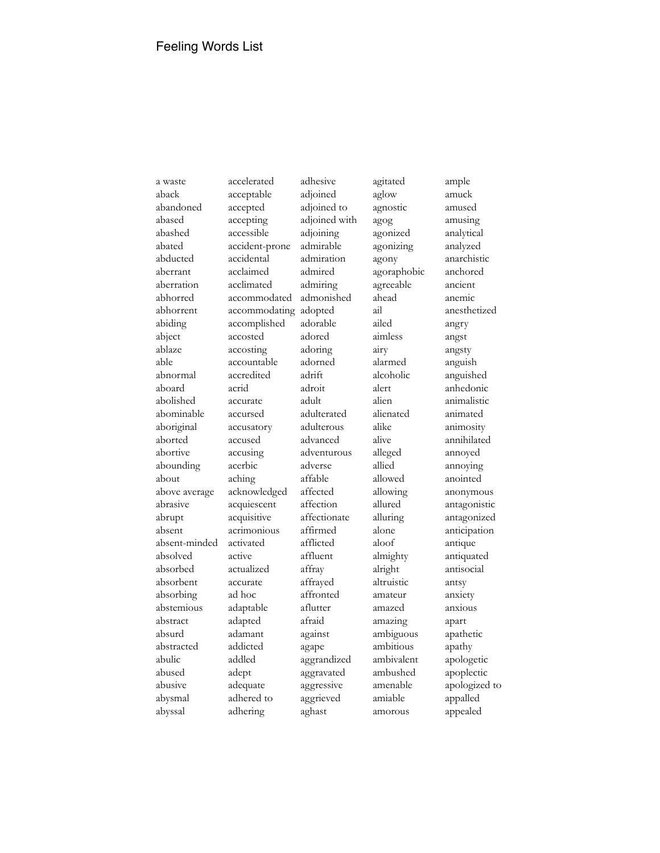a waste aback abandoned abased abashed abated abducted aberrant aberration abhorred abhorrent abiding abject ablaze able abnormal aboard abolished abominable aboriginal aborted abortive abounding about above average abrasive abrupt absent absent-minded absolved absorbed absorbent absorbing abstemious abstract absurd abstracted abulic abused abusive abysmal abyssal

accelerated acceptable accepted accepting accessible accident-prone accidental acclaimed acclimated accommodated accommodating accomplished accosted accosting accountable accredited acrid accurate accursed accusatory accused accusing acerbic aching acknowledged acquiescent acquisitive acrimonious activated active actualized accurate ad hoc adaptable adapted adamant addicted addled adept adequate adhered to adhering

adhesive adjoined adjoined to adjoined with adjoining admirable admiration admired admiring admonished adopted adorable adored adoring adorned adrift adroit adult adulterated adulterous advanced adventurous adverse affable affected affection affectionate affirmed afflicted affluent affray affrayed affronted aflutter afraid against agape aggrandized aggravated aggressive aggrieved aghast

agitated aglow agnostic agog agonized agonizing agony agoraphobic agreeable ahead ail ailed aimless airy alarmed alcoholic alert alien alienated alike alive alleged allied allowed allowing allured alluring alone aloof almighty alright altruistic amateur amazed amazing ambiguous ambitious ambivalent ambushed amenable amiable amorous

ample amuck amused amusing analytical analyzed anarchistic anchored ancient anemic anesthetized angry angst angsty anguish anguished anhedonic animalistic animated animosity annihilated annoyed annoying anointed anonymous antagonistic antagonized anticipation antique antiquated antisocial antsy anxiety anxious apart apathetic apathy apologetic apoplectic apologized to appalled appealed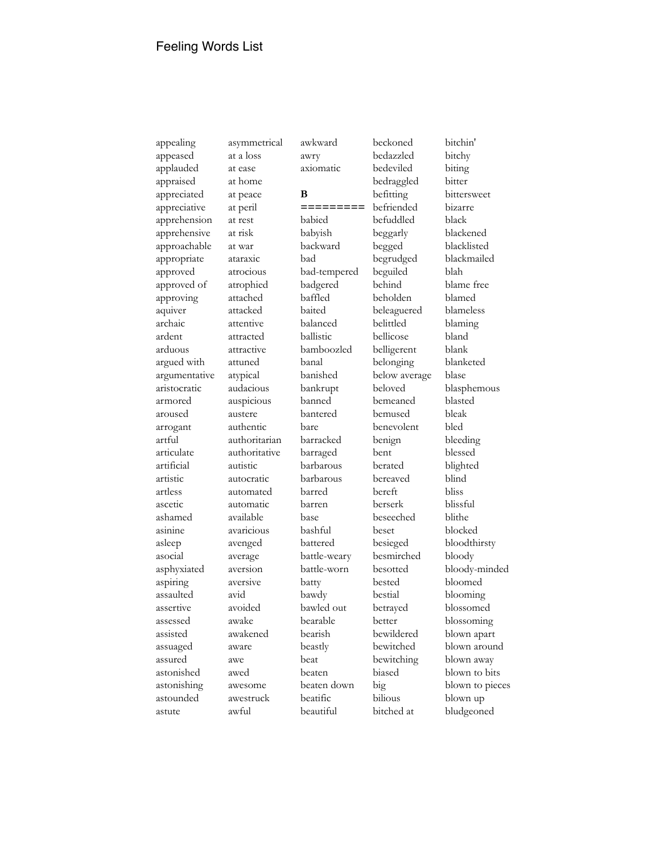appealing appeased applauded appraised appreciated appreciative apprehension apprehensive approachable appropriate approved approved of approving aquiver archaic ardent arduous argued with argumentative aristocratic armored aroused arrogant artful articulate artificial artistic artless ascetic ashamed asinine asleep asocial asphyxiated aspiring assaulted assertive assessed assisted assuaged assured astonished astonishing astounded astute

at ease at home at peace at peril at rest at risk at war ataraxic atrocious atrophied attached attacked attentive attracted attractive attuned atypical audacious auspicious austere authentic authoritarian authoritative autistic autocratic automated automatic available avaricious avenged average aversion aversive avid

avoided awake awakened aware awe awed awesome awestruck awful

asymmetrical at a loss

awkward

awry axiomatic **B =========** babied babyish backward bad bad-tempered badgered baffled baited balanced ballistic bamboozled banal banished bankrupt banned bantered bare barracked barraged barbarous barbarous barred barren base bashful battered battle-weary battle-worn batty bawdy bawled out bearable bearish beastly beat beaten beaten down beatific beautiful

beckoned bedazzled bedeviled bedraggled befitting befriended befuddled beggarly begged begrudged beguiled behind beholden beleaguered belittled bellicose belligerent belonging below average beloved bemeaned bemused benevolent benign bent berated bereaved bereft berserk beseeched beset besieged besmirched besotted bested bestial betrayed better bewildered bewitched bewitching biased big bilious bitched at

bitchy biting bitter bittersweet bizarre black blackened blacklisted blackmailed blah blame free blamed blameless blaming bland blank blanketed blase blasphemous blasted bleak bled bleeding blessed blighted blind bliss blissful blithe blocked bloodthirsty bloody bloody-minded bloomed blooming blossomed blossoming blown apart blown around blown away blown to bits blown to pieces blown up bludgeoned

bitchin'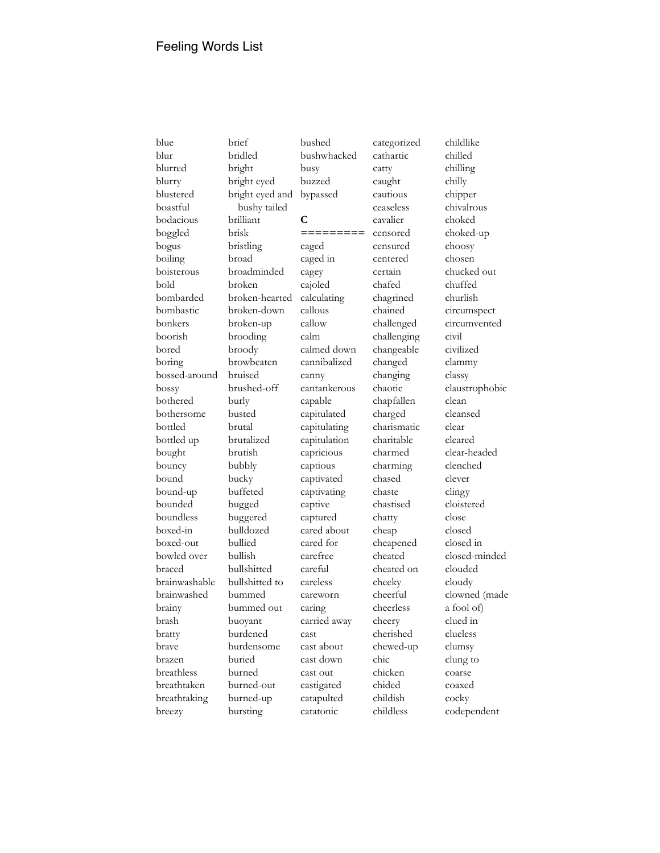blue blur blurred blurry blustered boastful bodacious boggled bogus boiling boisterous bold bombarded bombastic bonkers boorish bored boring bossed-around bossy bothered bothersome bottled bottled up bought bouncy bound bound-up bounded boundless boxed-in boxed-out bowled over braced brainwashable brainwashed brainy brash bratty brave brazen breathless breathtaken breathtaking breezy

brief bridled bright bright eyed bright eyed and bushy tailed brilliant brisk bristling broad broadminded broken broken-hearted broken-down broken-up brooding broody browbeaten bruised brushed-off burly busted brutal brutalized brutish bubbly bucky buffeted bugged buggered bulldozed bullied bullish bullshitted bullshitted to bummed bummed out buoyant burdened burdensome buried burned burned-out burned-up bursting

bushwhacked busy buzzed bypassed **C =========** caged caged in cagey cajoled calculating callous callow calm calmed down cannibalized canny cantankerous capable capitulated capitulating capitulation capricious captious captivated captivating captive captured cared about cared for carefree careful careless careworn caring carried away cast cast about cast down cast out castigated catapulted catatonic

bushed

categorized cathartic catty caught cautious ceaseless cavalier censored censured centered certain chafed chagrined chained challenged challenging changeable changed changing chaotic chapfallen charged charismatic charitable charmed charming chased chaste chastised chatty cheap cheapened cheated cheated on cheeky cheerful cheerless cheery cherished chewed-up chic chicken chided childish childless

childlike chilled chilling chilly chipper chivalrous choked choked-up choosy chosen chucked out chuffed churlish circumspect circumvented civil civilized clammy classy claustrophobic clean cleansed clear cleared clear-headed clenched clever clingy cloistered close closed closed in closed-minded clouded cloudy clowned (made a fool of) clued in clueless clumsy clung to coarse coaxed cocky codependent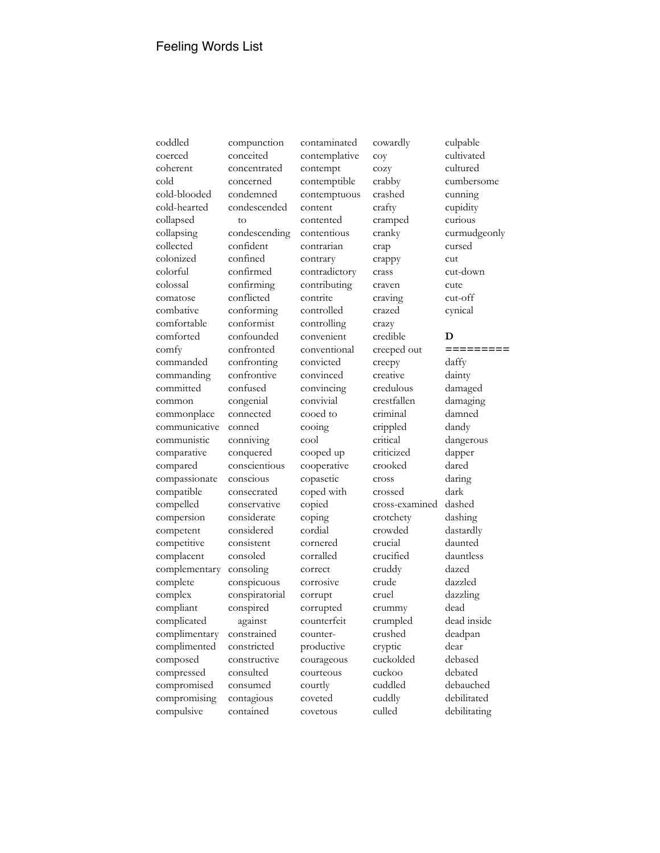coddled coerced coherent cold cold-blooded cold-hearted collapsed collapsing collected colonized colorful colossal comatose combative comfortable comforted comfy commanded commanding committed common commonplace communicative communistic comparative compared compassionate compatible compelled compersion competent competitive complacent complementary complete complex compliant complicated complimentary complimented composed compressed compromised compromising compulsive

compunction conceited concentrated concerned condemned condescended to condescending confident confined confirmed confirming conflicted conforming conformist confounded confronted confronting confrontive confused congenial connected conned conniving conquered conscientious conscious consecrated conservative considerate considered consistent consoled consoling conspicuous conspiratorial conspired against constrained constricted constructive consulted consumed contagious contained

contemplative contempt contemptible contemptuous content contented contentious contrarian contrary contradictory contributing contrite controlled controlling convenient conventional convicted convinced convincing convivial cooed to cooing cool cooped up cooperative copasetic coped with copied coping cordial cornered corralled correct corrosive corrupt corrupted counterfeit counterproductive courageous courteous courtly coveted covetous

contaminated

cowardly coy cozy crabby crashed crafty cramped cranky crap crappy crass craven craving crazed crazy credible creeped out creepy creative credulous crestfallen criminal crippled critical criticized crooked cross crossed cross-examined crotchety crowded crucial crucified cruddy crude cruel crummy crumpled crushed cryptic cuckolded cuckoo cuddled cuddly culled

culpable curious cursed cut cute cut-off cynical **D** daffy dainty dandy dapper dared daring dark dashed dazed dazzled dead dear debased debated debauched debilitated debilitating

cultivated cultured cumbersome cunning cupidity curmudgeonly cut-down **=========** damaged damaging damned dangerous dashing dastardly daunted dauntless dazzling dead inside deadpan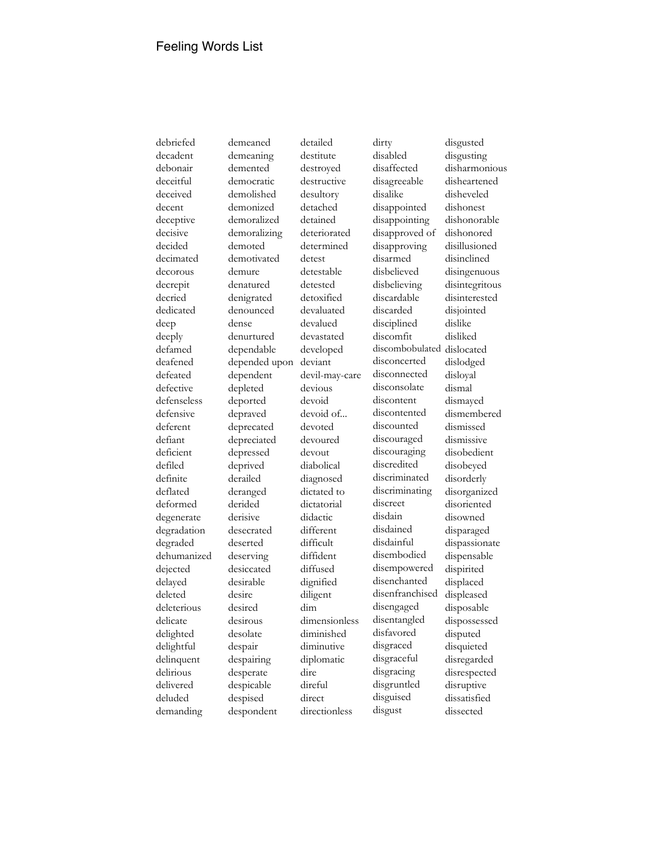debriefed decadent debonair deceitful deceived decent deceptive decisive decided decimated decorous decrepit decried dedicated deep deeply defamed deafened defeated defective defenseless defensive deferent defiant deficient defiled definite deflated deformed degenerate degradation degraded dehumanized dejected delayed deleted deleterious delicate delighted delightful delinquent delirious delivered deluded demanding

demeaned demeaning demented democratic demolished demonized demoralized demoralizing demoted demotivated demure denatured denigrated denounced dense denurtured dependable depended upon dependent depleted deported depraved deprecated depreciated depressed deprived derailed deranged derided derisive desecrated deserted deserving desiccated desirable desire desired desirous desolate despair despairing desperate despicable despised despondent

detailed destitute destroyed destructive desultory detached detained deteriorated determined detest detestable detested detoxified devaluated devalued devastated developed deviant devil-may-care devious devoid devoid of... devoted devoured devout diabolical diagnosed dictated to dictatorial didactic different difficult diffident diffused dignified diligent dim dimensionless diminished diminutive diplomatic dire direful direct directionless

dirty disabled disaffected disagreeable disalike disappointed disappointing disapproved of disapproving disarmed disbelieved disbelieving discardable discarded disciplined discomfit discombobulated dislocated disconcerted disconnected disconsolate discontent discontented discounted discouraged discouraging discredited discriminated discriminating discreet disdain disdained disdainful disembodied disempowered disenchanted disenfranchised disengaged disentangled disfavored disgraced disgraceful disgracing disgruntled disguised disgust

disgusted disgusting disharmonious disheartened disheveled dishonest dishonorable dishonored disillusioned disinclined disingenuous disintegritous disinterested disjointed dislike disliked dislodged disloyal dismal dismayed dismembered dismissed dismissive disobedient disobeyed disorderly disorganized disoriented disowned disparaged dispassionate dispensable dispirited displaced displeased disposable dispossessed disputed disquieted disregarded disrespected disruptive dissatisfied dissected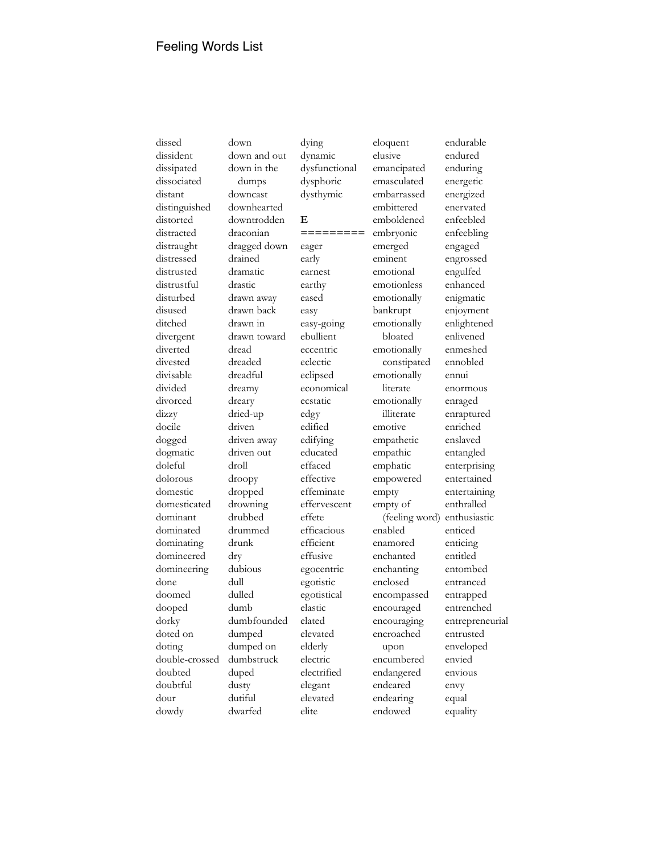dissed dissident dissipated dissociated distant distinguished distorted distracted distraught distressed distrusted distrustful disturbed disused ditched divergent diverted divested divisable divided divorced dizzy docile dogged dogmatic doleful dolorous domestic domesticated dominant dominated dominating domineered domineering done doomed dooped dorky doted on doting double-crossed doubted doubtful dour dowdy

down down and out down in the dumps downcast downhearted downtrodden draconian dragged down drained dramatic drastic drawn away drawn back drawn in drawn toward dread dreaded dreadful dreamy dreary dried-up driven driven away driven out droll droopy dropped drowning drubbed drummed drunk dry dubious dull dulled dumb dumbfounded dumped dumped on dumbstruck duped dusty dutiful dwarfed

dysphoric dysthymic **E =========** eager early earnest earthy eased easy easy-going ebullient eccentric eclectic eclipsed economical ecstatic edgy edified edifying educated effaced effective effeminate effervescent effete efficacious efficient effusive egocentric egotistic egotistical elastic elated elevated elderly electric electrified elegant elevated elite

dying dynamic dysfunctional

eloquent elusive emancipated emasculated embarrassed embittered emboldened embryonic emerged eminent emotional emotionless emotionally bankrupt emotionally bloated emotionally constipated emotionally literate emotionally illiterate emotive empathetic empathic emphatic empowered empty empty of (feeling word) enabled enamored enchanted enchanting enclosed encompassed encouraged encouraging encroached upon encumbered endangered endeared endearing endowed

endurable endured enduring energetic energized enervated enfeebled enfeebling engaged engrossed engulfed enhanced enigmatic enjoyment enlightened enlivened enmeshed ennobled ennui enormous enraged enraptured enriched enslaved entangled enterprising entertained entertaining enthralled enthusiastic enticed enticing entitled entombed entranced entrapped entrenched entrepreneurial entrusted enveloped envied envious envy equal equality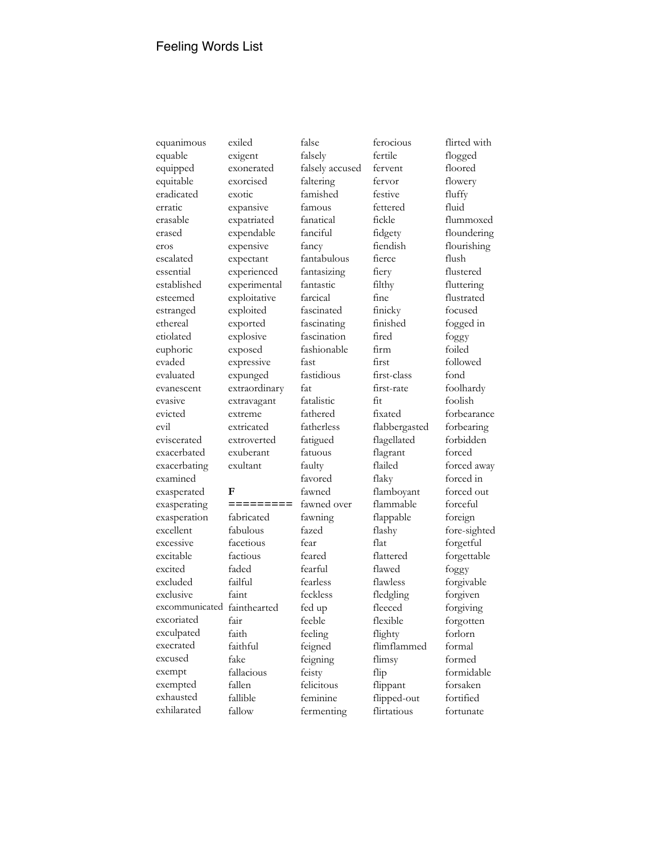equanimous equable equipped equitable eradicated erratic erasable erased eros escalated essential established esteemed estranged ethereal etiolated euphoric evaded evaluated evanescent evasive evicted evil eviscerated exacerbated exacerbating examined exasperated exasperating exasperation excellent excessive excitable excited excluded exclusive excoriated exculpated execrated excused exempt exempted exhausted exhilarated

excommunicated fainthearted exiled exigent exonerated exorcised exotic expansive expatriated expendable expensive expectant experienced experimental exploitative exploited exported explosive exposed expressive expunged extraordinary extravagant extreme extricated extroverted exuberant exultant **F =========** fabricated fabulous facetious factious faded failful faint fair faith faithful fake fallacious fallen fallible fallow

falsely falsely accused faltering famished famous fanatical fanciful fancy fantabulous fantasizing fantastic farcical fascinated fascinating fascination fashionable fast fastidious fat fatalistic fathered fatherless fatigued fatuous faulty favored fawned fawned over fawning fazed fear feared fearful fearless feckless fed up feeble feeling feigned feigning feisty felicitous feminine fermenting

false

ferocious fertile fervent fervor festive fettered fickle fidgety fiendish fierce fiery filthy fine finicky finished fired firm first first-class first-rate fixated flabbergasted flagellated flagrant flailed flaky flamboyant flammable flappable flashy flat flattered flawed flawless fledgling fleeced flexible flighty flimflammed flimsy flip flippant flipped-out flirtatious

fit

flirted with flogged floored flowery fluffy fluid flummoxed floundering flourishing flush flustered fluttering flustrated focused fogged in foggy foiled followed fond foolhardy foolish forbearance forbearing forbidden forced forced away forced in forced out forceful foreign fore-sighted forgetful forgettable foggy forgivable forgiven forgiving forgotten forlorn formal formed formidable forsaken fortified

fortunate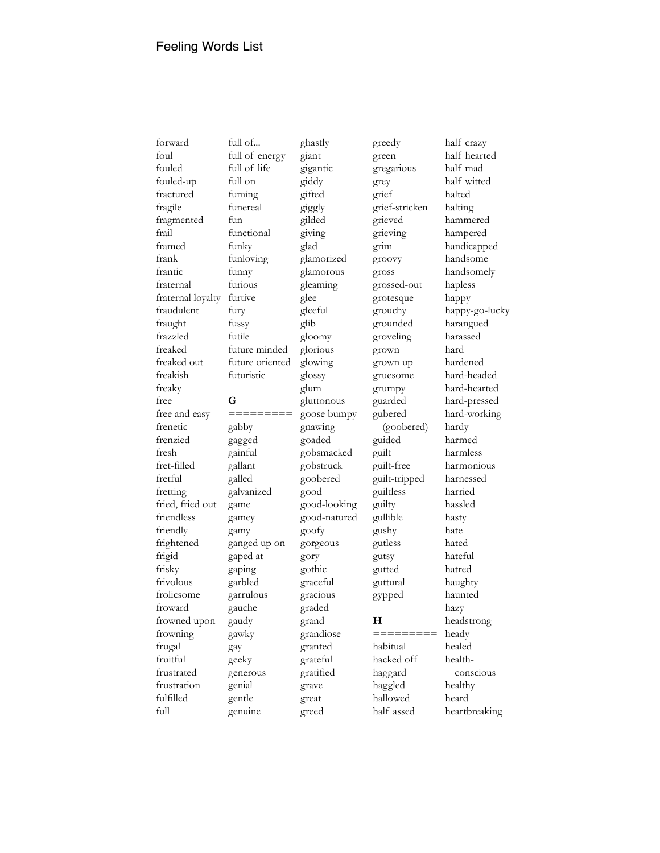forward foul fouled fouled-up fractured fragile fragmented frail framed frank frantic fraternal fraternal loyalty fraudulent fraught frazzled freaked freaked out freakish freaky free free and easy frenetic frenzied fresh fret-filled fretful fretting fried, fried out friendless friendly frightened frigid frisky frivolous frolicsome froward frowned upon frowning frugal fruitful frustrated frustration fulfilled full

full of... full of energy full of life full on fuming funereal fun functional funky funloving funny furious furtive fury fussy futile future minded future oriented futuristic **G =========** gabby gagged gainful gallant galled galvanized game gamey gamy ganged up on gaped at gaping garbled garrulous gauche gaudy gawky gay geeky generous genial gentle

genuine

giant gigantic giddy gifted giggly gilded giving glad glamorized glamorous gleaming glee gleeful glib gloomy glorious glowing glossy glum gluttonous goose bumpy gnawing goaded gobsmacked gobstruck goobered good good-looking good-natured goofy gorgeous gory gothic graceful gracious graded grand grandiose granted grateful gratified grave great greed

ghastly

greedy green gregarious grey grief grief-stricken grieved grieving grim groovy gross grossed-out grotesque grouchy grounded groveling grown grown up gruesome grumpy guarded gubered (goobered) guided guilt guilt-free guilt-tripped guiltless guilty gullible gushy gutless gutsy gutted guttural gypped **H =========** habitual hacked off haggard haggled hallowed half assed

half crazy half hearted half mad half witted halted halting hammered hampered handicapped handsome handsomely hapless happy happy-go-lucky harangued harassed hard hardened hard-headed hard-hearted hard-pressed hard-working hardy harmed harmless harmonious harnessed harried hassled hasty hate hated hateful hatred haughty haunted hazy headstrong heady healed healthconscious healthy heard heartbreaking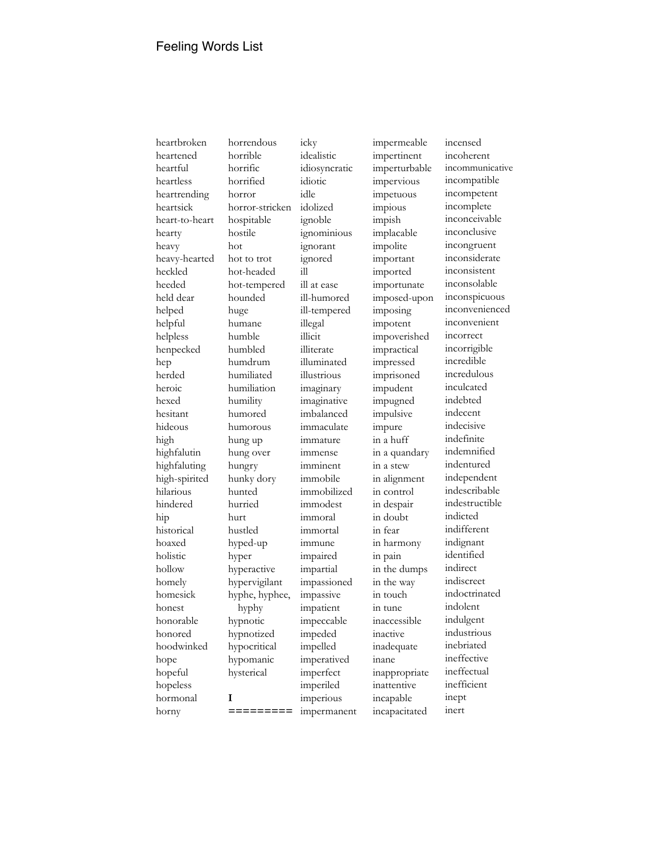heartbroken heartened heartful heartless heartrending heartsick heart-to-heart hearty heavy heavy-hearted heckled heeded held dear helped helpful helpless henpecked hep herded heroic hexed hesitant hideous high highfalutin highfaluting high-spirited hilarious hindered hip historical hoaxed holistic hollow homely homesick honest honorable honored hoodwinked hope hopeful hopeless hormonal horny

horrendous horrible horrific horrified horror horror-stricken hospitable hostile hot hot to trot hot-headed hot-tempered hounded huge humane humble humbled humdrum humiliated humiliation humility humored humorous hung up hung over hungry hunky dory hunted hurried hurt hustled hyped-up hyper hyperactive hypervigilant hyphe, hyphee, hyphy hypnotic hypnotized hypocritical hypomanic hysterical **I =========**

icky idealistic idiosyncratic idiotic idle idolized ignoble ignominious ignorant ignored ill ill at ease ill-humored ill-tempered illegal illicit illiterate illuminated illustrious imaginary imaginative imbalanced immaculate immature immense imminent immobile immobilized immodest immoral immortal immune impaired impartial impassioned impassive impatient impeccable impeded impelled imperatived imperfect imperiled imperious impermanent

impermeable impertinent imperturbable impervious impetuous impious impish implacable impolite important imported importunate imposed-upon imposing impotent impoverished impractical impressed imprisoned impudent impugned impulsive impure in a huff in a quandary in a stew in alignment in control in despair in doubt in fear in harmony in pain in the dumps in the way in touch in tune inaccessible inactive inadequate inane inappropriate inattentive incapable incapacitated

incensed incoherent incommunicative incompatible incompetent incomplete inconceivable inconclusive incongruent inconsiderate inconsistent inconsolable inconspicuous inconvenienced inconvenient incorrect incorrigible incredible incredulous inculcated indebted indecent indecisive indefinite indemnified indentured independent indescribable indestructible indicted indifferent indignant identified indirect indiscreet indoctrinated indolent indulgent industrious inebriated ineffective ineffectual inefficient inept inert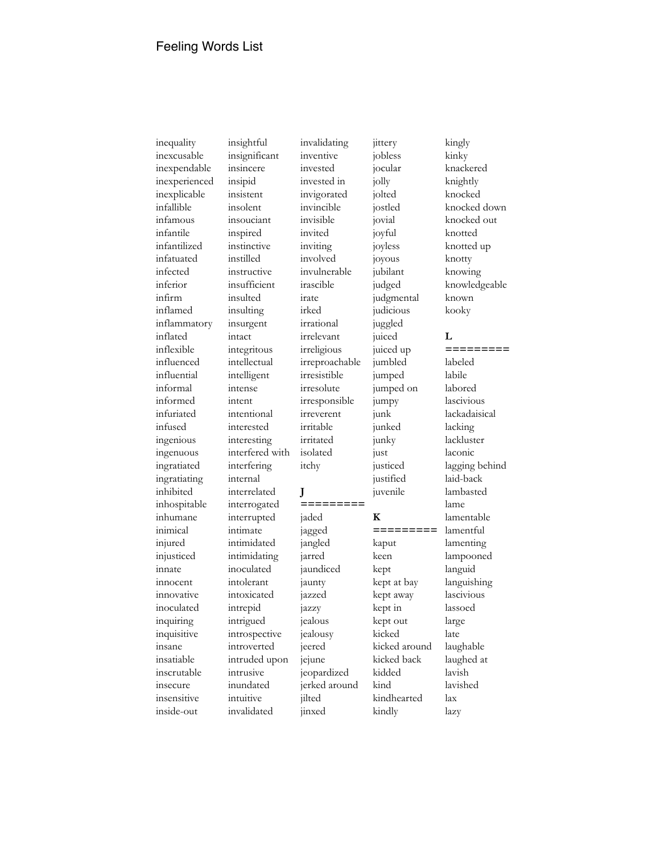inequality inexcusable inexpendable inexperienced inexplicable infallible infamous infantile infantilized infatuated infected inferior infirm inflamed inflammatory inflated inflexible influenced influential informal informed infuriated infused ingenious ingenuous ingratiated ingratiating inhibited inhospitable inhumane inimical injured injusticed innate innocent innovative inoculated inquiring inquisitive insane insatiable inscrutable insecure insensitive inside-out

insightful insignificant insincere insipid insistent insolent insouciant inspired instinctive instilled instructive insufficient insulted insulting insurgent intact integritous intellectual intelligent intense intent intentional interested interesting interfered with interfering internal interrelated interrogated interrupted intimate intimidated intimidating inoculated intolerant intoxicated intrepid intrigued introspective introverted intruded upon intrusive inundated intuitive invalidated

inventive invested invested in invigorated invincible invisible invited inviting involved invulnerable irascible irate irked irrational irrelevant irreligious irreproachable irresistible irresolute irresponsible irreverent irritable irritated isolated itchy **J =========** jaded jagged jangled jarred jaundiced jaunty jazzed jazzy jealous jealousy jeered jejune jeopardized jerked around jilted

jinxed

invalidating

jittery jobless jocular jolly jolted jostled jovial joyful joyless joyous jubilant judged judgmental judicious juggled juiced juiced up jumbled jumped jumped on jumpy junk junked junky just justiced justified juvenile **K =========** kaput keen kept kept at bay kept away kept in kept out kicked kicked around kicked back kidded kind kindhearted kindly

kingly kinky knackered knightly knocked knocked down knocked out knotted knotted up knotty knowing knowledgeable known kooky **L =========** labeled labile labored lascivious lackadaisical lacking lackluster laconic lagging behind laid-back lambasted lame lamentable lamentful lamenting lampooned languid languishing lascivious lassoed large late laughable laughed at lavish lavished lax

lazy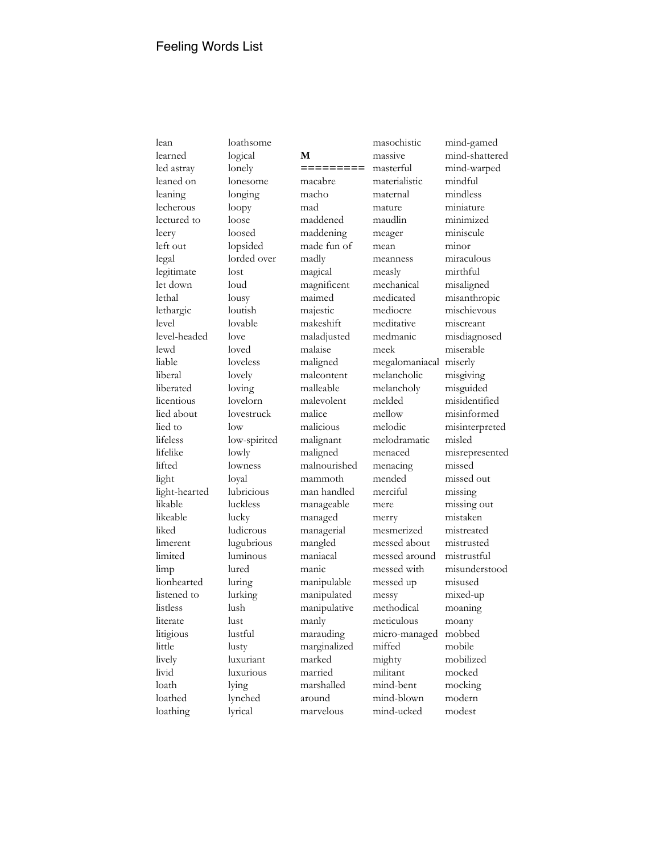lean learned led astray leaned on leaning lecherous lectured to leery left out legal legitimate let down lethal lethargic level level-headed lewd liable liberal liberated licentious lied about lied to lifeless lifelike lifted light light-hearted likable likeable liked limerent limited limp lionhearted listened to listless literate litigious little lively livid loath loathed loathing

loathsome logical lonely lonesome longing loopy loose loosed lopsided lorded over lost loud lousy loutish lovable love loved loveless lovely loving lovelorn lovestruck low low-spirited lowly lowness loyal lubricious luckless lucky ludicrous lugubrious luminous lured luring lurking lush lust lustful lusty luxuriant luxurious lying lynched lyrical

**M =========** macabre macho mad maddened maddening made fun of madly magical magnificent maimed majestic makeshift maladjusted malaise maligned malcontent malleable malevolent malice malicious malignant maligned malnourished mammoth man handled manageable managed managerial mangled maniacal manic manipulable manipulated manipulative manly marauding marginalized marked married marshalled around marvelous

masochistic massive masterful materialistic maternal mature maudlin meager mean meanness measly mechanical medicated mediocre meditative medmanic meek megalomaniacal miserly melancholic melancholy melded mellow melodic melodramatic menaced menacing mended merciful mere merry mesmerized messed about messed around messed with messed up messy methodical meticulous micro-managed miffed mighty militant mind-bent mind-blown mind-ucked

mind-gamed mind-shattered mind-warped mindful mindless miniature minimized miniscule minor miraculous mirthful misaligned misanthropic mischievous miscreant misdiagnosed miserable misgiving misguided misidentified misinformed misinterpreted misled misrepresented missed missed out missing missing out mistaken mistreated mistrusted mistrustful misunderstood misused mixed-up moaning moany mobbed mobile mobilized mocked mocking modern modest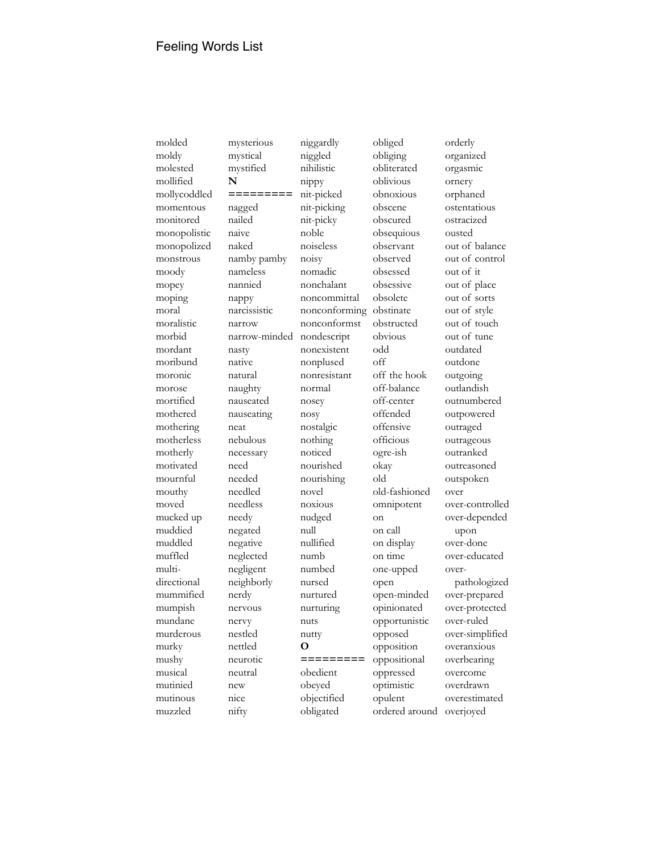molded moldy molested mollified mollycoddled momentous monitored monopolistic monopolized monstrous moody mopey moping moral moralistic morbid mordant moribund moronic morose mortified mothered mothering motherless motherly motivated mournful mouthy moved mucked up muddied muddled muffled multidirectional mummified mumpish mundane murderous murky mushy musical mutinied mutinous muzzled

mysterious mystical mystified **N =========** nagged nailed naive naked namby pamby nameless nannied nappy narcissistic narrow narrow-minded nasty native natural naughty nauseated nauseating neat nebulous necessary need needed needled needless needy negated negative neglected negligent neighborly nerdy nervous nervy nestled nettled neurotic neutral new nice nifty

niggled nihilistic nippy nit-picked nit-picking nit-picky noble noiseless noisy nomadic nonchalant noncommittal nonconforming nonconformst nondescript nonexistent nonplused nonresistant normal nosey nosy nostalgic nothing noticed nourished nourishing novel noxious nudged null nullified numb numbed nursed nurtured nurturing nuts nutty **O =========** obedient obeyed objectified obligated

niggardly

obliged obliging obliterated oblivious obnoxious obscene obscured obsequious observant observed obsessed obsessive obsolete obstinate obstructed obvious odd off off the hook off-balance off-center offended offensive officious ogre-ish okay old old-fashioned omnipotent on on call on display on time one-upped open open-minded opinionated opportunistic opposed opposition oppositional oppressed optimistic opulent ordered around

orderly organized orgasmic ornery orphaned ostentatious ostracized ousted out of balance out of control out of it out of place out of sorts out of style out of touch out of tune outdated outdone outgoing outlandish outnumbered outpowered outraged outrageous outranked outreasoned outspoken over over-controlled over-depended upon over-done over-educated overpathologized over-prepared over-protected over-ruled over-simplified overanxious overbearing overcome overdrawn overestimated overjoyed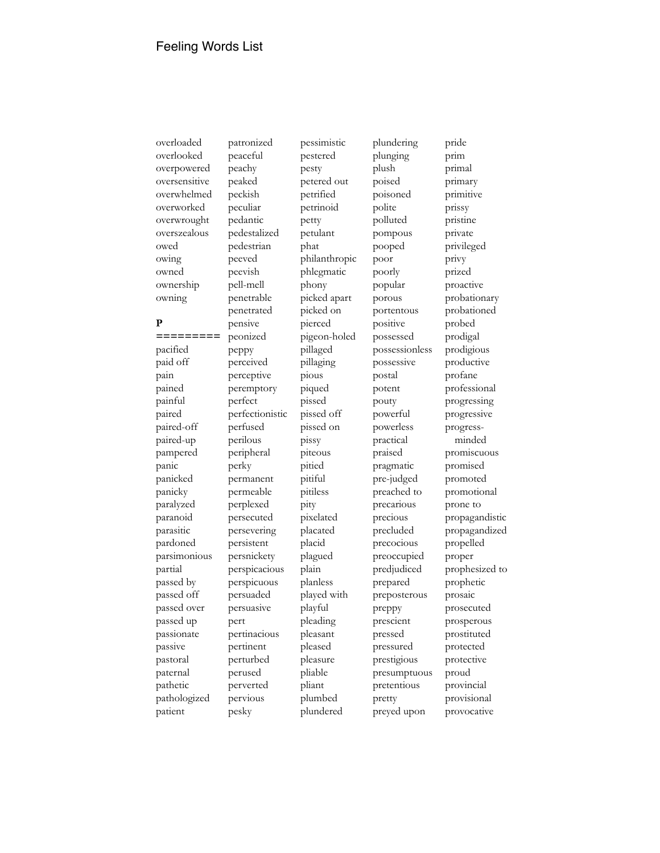overloaded overlooked overpowered oversensitive overwhelmed overworked overwrought overszealous owed owing owned ownership owning

## **P**

**=========** pacified paid off pain pained painful paired paired-off paired-up pampered panic panicked panicky paralyzed paranoid parasitic pardoned parsimonious partial passed by passed off passed over passed up passionate passive pastoral paternal pathetic pathologized patient

patronized peaceful peachy peaked peckish peculiar pedantic pedestalized pedestrian peeved peevish pell-mell penetrable penetrated pensive peonized peppy perceived perceptive peremptory perfect perfectionistic perfused perilous peripheral perky permanent permeable perplexed persecuted persevering persistent persnickety perspicacious perspicuous persuaded persuasive pert pertinacious pertinent perturbed perused perverted pervious pesky

pessimistic pestered pesty petered out petrified petrinoid petty petulant phat philanthropic phlegmatic phony picked apart picked on pierced pigeon-holed pillaged pillaging pious piqued pissed pissed off pissed on pissy piteous pitied pitiful pitiless pity pixelated placated placid plagued plain planless played with playful pleading pleasant pleased pleasure pliable pliant plumbed plundered

plundering plunging plush poised poisoned polite polluted pompous pooped poor poorly popular porous portentous positive possessed possessionless possessive postal potent pouty powerful powerless practical praised pragmatic pre-judged preached to precarious precious precluded precocious preoccupied predjudiced prepared preposterous preppy prescient pressed pressured prestigious presumptuous pretentious pretty preyed upon

pride prim primal primary primitive prissy pristine private privileged privy prized proactive probationary probationed probed prodigal prodigious productive profane professional progressing progressive progressminded promiscuous promised promoted promotional prone to propagandistic propagandized propelled proper prophesized to prophetic prosaic prosecuted prosperous prostituted protected protective proud provincial provisional provocative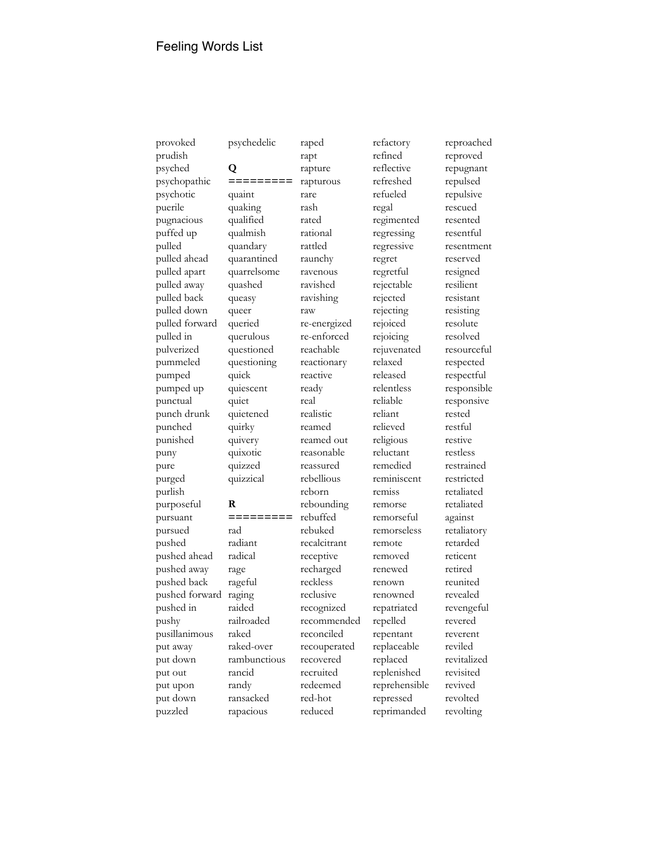provoked prudish psyched psychopathic psychotic puerile pugnacious puffed up pulled pulled ahead pulled apart pulled away pulled back pulled down pulled forward pulled in pulverized pummeled pumped pumped up punctual punch drunk punched punished puny pure purged purlish purposeful pursuant pursued pushed pushed ahead pushed away pushed back pushed forward pushed in pushy pusillanimous put away put down put out put upon put down puzzled

## psychedelic **Q**

**=========** quaint quaking qualified qualmish quandary quarantined quarrelsome quashed queasy queer queried querulous questioned questioning quick quiescent quiet quietened quirky quivery quixotic quizzed quizzical **R =========** rad radiant radical rage rageful raging raided railroaded raked raked-over

rambunctious rancid randy ransacked rapacious

rapture rapturous rare rash rated rational rattled raunchy ravenous ravished ravishing raw re-energized re-enforced reachable reactionary reactive ready real realistic reamed reamed out reasonable reassured rebellious reborn rebounding rebuffed rebuked recalcitrant receptive recharged reckless reclusive recognized recommended reconciled recouperated recovered recruited redeemed red-hot reduced

raped rapt

refactory refined reflective refreshed refueled regal regimented regressing regressive regret regretful rejectable rejected rejecting rejoiced rejoicing rejuvenated relaxed released relentless reliable reliant relieved religious reluctant remedied reminiscent remiss remorse remorseful remorseless remote removed renewed renown renowned repatriated repelled repentant replaceable replaced replenished reprehensible repressed reprimanded

reproached reproved repugnant repulsed repulsive rescued resented resentful resentment reserved resigned resilient resistant resisting resolute resolved resourceful respected respectful responsible responsive rested restful restive restless restrained restricted retaliated retaliated against retaliatory retarded reticent retired reunited revealed revengeful revered reverent reviled revitalized revisited revived revolted revolting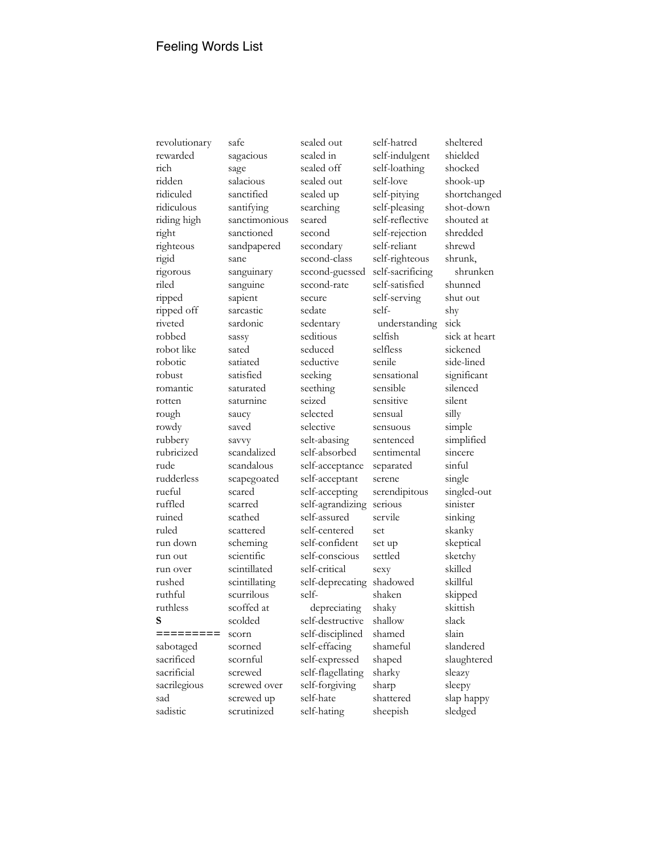revolutionary rewarded rich ridden ridiculed ridiculous riding high right righteous rigid rigorous riled ripped ripped off riveted robbed robot like robotic robust romantic rotten rough rowdy rubbery rubricized rude rudderless rueful ruffled ruined ruled run down run out run over rushed ruthful ruthless **S =========** sabotaged sacrificed sacrificial sacrilegious sad sadistic

safe sagacious sage salacious sanctified santifying sanctimonious sanctioned sandpapered sane sanguinary sanguine sapient sarcastic sardonic sassy sated satiated satisfied saturated saturnine saucy saved savvy scandalized scandalous scapegoated scared scarred scathed scattered scheming scientific scintillated scintillating scurrilous scoffed at scolded scorn scorned scornful screwed screwed over screwed up scrutinized

sealed in sealed off sealed out sealed up searching seared second secondary second-class second-guessed second-rate secure sedate sedentary seditious seduced seductive seeking seething seized selected selective selt-abasing self-absorbed self-acceptance self-acceptant self-accepting self-agrandizing serious self-assured self-centered self-confident self-conscious self-critical self-deprecating shadowed selfdepreciating self-destructive self-disciplined self-effacing self-expressed self-flagellating self-forgiving self-hate self-hating

sealed out

self-hatred self-indulgent self-loathing self-love self-pitying self-pleasing self-reflective self-rejection self-reliant self-righteous self-sacrificing self-satisfied self-serving selfunderstanding selfish selfless senile sensational sensible sensitive sensual sensuous sentenced sentimental separated serene serendipitous servile set set up settled sexy shaken shaky shallow shamed shameful shaped sharky sharp shattered sheepish

sheltered shielded shocked shook-up shortchanged shot-down shouted at shredded shrewd shrunk, shrunken shunned shut out shy sick sick at heart sickened side-lined significant silenced silent silly simple simplified sincere sinful single singled-out sinister sinking skanky skeptical sketchy skilled skillful skipped skittish slack slain slandered slaughtered sleazy sleepy slap happy sledged